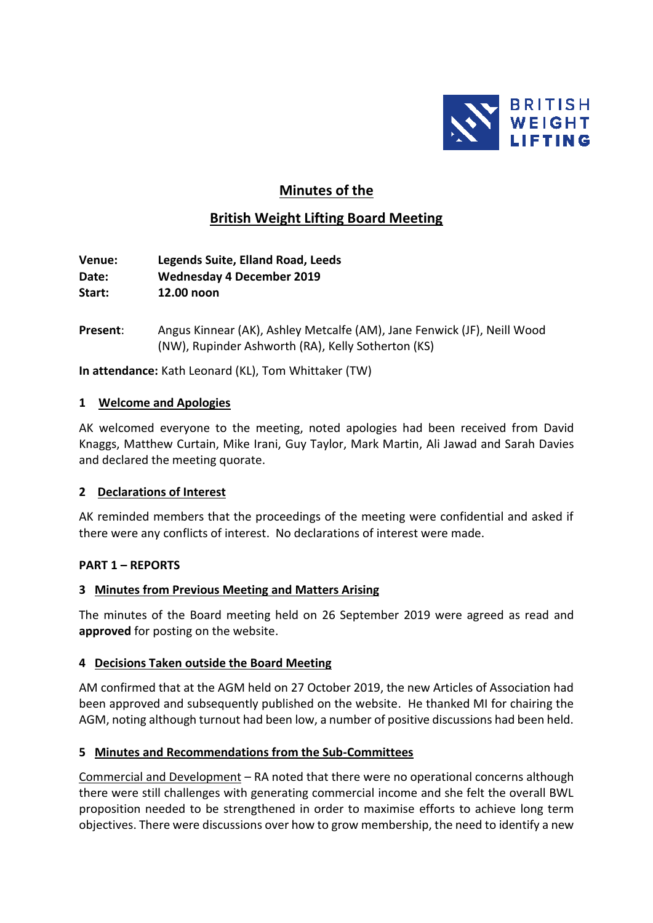

# **Minutes of the**

# **British Weight Lifting Board Meeting**

**Venue: Legends Suite, Elland Road, Leeds Date: Wednesday 4 December 2019 Start: 12.00 noon**

**Present**: Angus Kinnear (AK), Ashley Metcalfe (AM), Jane Fenwick (JF), Neill Wood (NW), Rupinder Ashworth (RA), Kelly Sotherton (KS)

**In attendance:** Kath Leonard (KL), Tom Whittaker (TW)

#### **1 Welcome and Apologies**

AK welcomed everyone to the meeting, noted apologies had been received from David Knaggs, Matthew Curtain, Mike Irani, Guy Taylor, Mark Martin, Ali Jawad and Sarah Davies and declared the meeting quorate.

#### **2 Declarations of Interest**

AK reminded members that the proceedings of the meeting were confidential and asked if there were any conflicts of interest. No declarations of interest were made.

#### **PART 1 – REPORTS**

#### **3 Minutes from Previous Meeting and Matters Arising**

The minutes of the Board meeting held on 26 September 2019 were agreed as read and **approved** for posting on the website.

#### **4 Decisions Taken outside the Board Meeting**

AM confirmed that at the AGM held on 27 October 2019, the new Articles of Association had been approved and subsequently published on the website. He thanked MI for chairing the AGM, noting although turnout had been low, a number of positive discussions had been held.

### **5 Minutes and Recommendations from the Sub-Committees**

Commercial and Development - RA noted that there were no operational concerns although there were still challenges with generating commercial income and she felt the overall BWL proposition needed to be strengthened in order to maximise efforts to achieve long term objectives. There were discussions over how to grow membership, the need to identify a new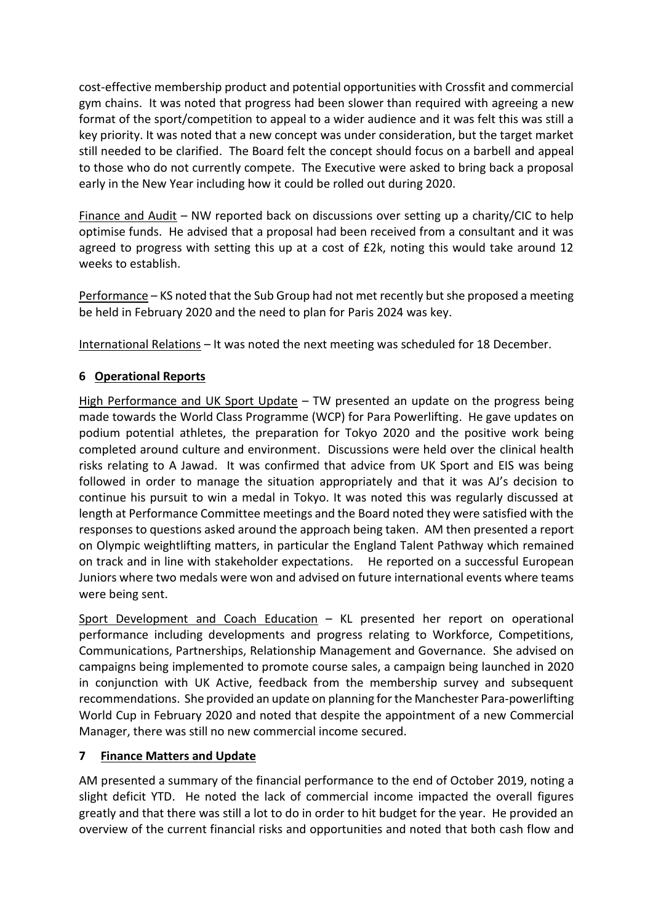cost-effective membership product and potential opportunities with Crossfit and commercial gym chains. It was noted that progress had been slower than required with agreeing a new format of the sport/competition to appeal to a wider audience and it was felt this was still a key priority. It was noted that a new concept was under consideration, but the target market still needed to be clarified. The Board felt the concept should focus on a barbell and appeal to those who do not currently compete. The Executive were asked to bring back a proposal early in the New Year including how it could be rolled out during 2020.

Finance and Audit – NW reported back on discussions over setting up a charity/CIC to help optimise funds. He advised that a proposal had been received from a consultant and it was agreed to progress with setting this up at a cost of £2k, noting this would take around 12 weeks to establish.

Performance – KS noted that the Sub Group had not met recently but she proposed a meeting be held in February 2020 and the need to plan for Paris 2024 was key.

International Relations – It was noted the next meeting was scheduled for 18 December.

## **6 Operational Reports**

High Performance and UK Sport Update – TW presented an update on the progress being made towards the World Class Programme (WCP) for Para Powerlifting. He gave updates on podium potential athletes, the preparation for Tokyo 2020 and the positive work being completed around culture and environment. Discussions were held over the clinical health risks relating to A Jawad. It was confirmed that advice from UK Sport and EIS was being followed in order to manage the situation appropriately and that it was AJ's decision to continue his pursuit to win a medal in Tokyo. It was noted this was regularly discussed at length at Performance Committee meetings and the Board noted they were satisfied with the responses to questions asked around the approach being taken. AM then presented a report on Olympic weightlifting matters, in particular the England Talent Pathway which remained on track and in line with stakeholder expectations. He reported on a successful European Juniors where two medals were won and advised on future international events where teams were being sent.

Sport Development and Coach Education – KL presented her report on operational performance including developments and progress relating to Workforce, Competitions, Communications, Partnerships, Relationship Management and Governance. She advised on campaigns being implemented to promote course sales, a campaign being launched in 2020 in conjunction with UK Active, feedback from the membership survey and subsequent recommendations. She provided an update on planning forthe Manchester Para-powerlifting World Cup in February 2020 and noted that despite the appointment of a new Commercial Manager, there was still no new commercial income secured.

### **7 Finance Matters and Update**

AM presented a summary of the financial performance to the end of October 2019, noting a slight deficit YTD. He noted the lack of commercial income impacted the overall figures greatly and that there was still a lot to do in order to hit budget for the year. He provided an overview of the current financial risks and opportunities and noted that both cash flow and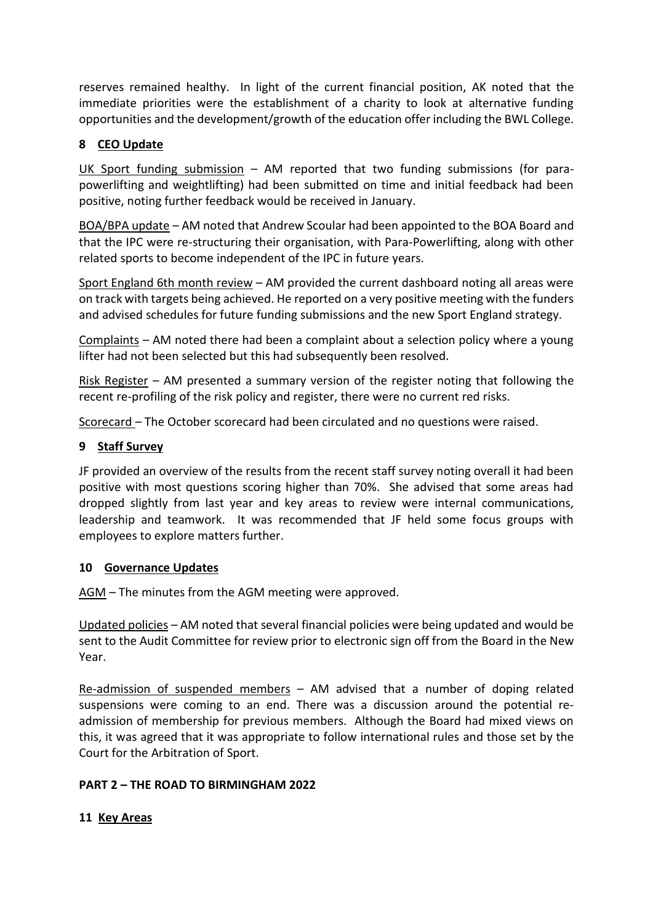reserves remained healthy. In light of the current financial position, AK noted that the immediate priorities were the establishment of a charity to look at alternative funding opportunities and the development/growth of the education offer including the BWL College.

## **8 CEO Update**

UK Sport funding submission – AM reported that two funding submissions (for parapowerlifting and weightlifting) had been submitted on time and initial feedback had been positive, noting further feedback would be received in January.

BOA/BPA update – AM noted that Andrew Scoular had been appointed to the BOA Board and that the IPC were re-structuring their organisation, with Para-Powerlifting, along with other related sports to become independent of the IPC in future years.

Sport England 6th month review – AM provided the current dashboard noting all areas were on track with targets being achieved. He reported on a very positive meeting with the funders and advised schedules for future funding submissions and the new Sport England strategy.

Complaints – AM noted there had been a complaint about a selection policy where a young lifter had not been selected but this had subsequently been resolved.

Risk Register – AM presented a summary version of the register noting that following the recent re-profiling of the risk policy and register, there were no current red risks.

Scorecard – The October scorecard had been circulated and no questions were raised.

### **9 Staff Survey**

JF provided an overview of the results from the recent staff survey noting overall it had been positive with most questions scoring higher than 70%. She advised that some areas had dropped slightly from last year and key areas to review were internal communications, leadership and teamwork. It was recommended that JF held some focus groups with employees to explore matters further.

### **10 Governance Updates**

AGM – The minutes from the AGM meeting were approved.

Updated policies – AM noted that several financial policies were being updated and would be sent to the Audit Committee for review prior to electronic sign off from the Board in the New Year.

Re-admission of suspended members – AM advised that a number of doping related suspensions were coming to an end. There was a discussion around the potential readmission of membership for previous members. Although the Board had mixed views on this, it was agreed that it was appropriate to follow international rules and those set by the Court for the Arbitration of Sport.

### **PART 2 – THE ROAD TO BIRMINGHAM 2022**

### **11 Key Areas**